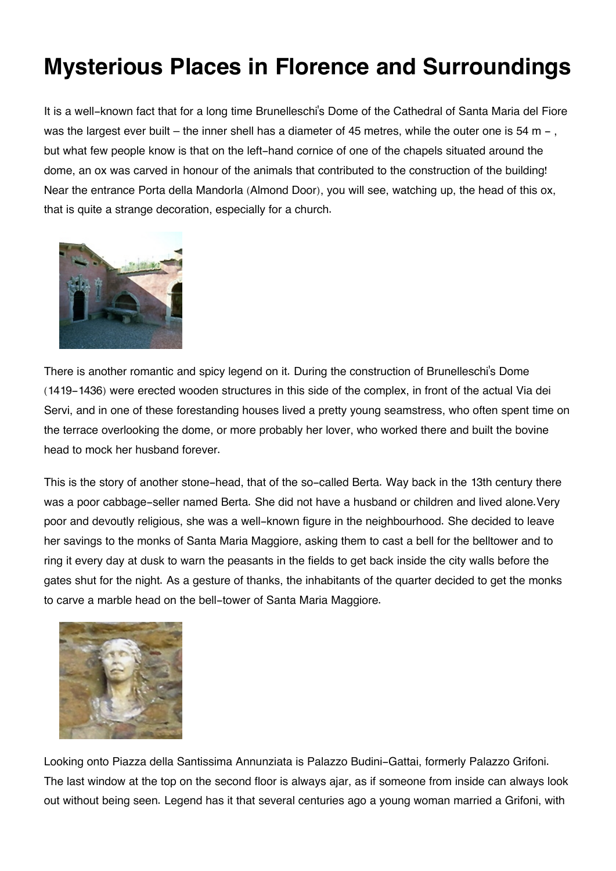## **Mysterious Places in Florence and Surroundings**

It is a well-known fact that for a long time Brunelleschi's Dome of the Cathedral of Santa Maria del Fiore was the largest ever built – the inner shell has a diameter of 45 metres, while the outer one is 54 m –, but what few people know is that on the left-hand cornice of one of the chapels situated around the dome, an ox was carved in honour of the animals that contributed to the construction of the building! Near the entrance Porta della Mandorla (Almond Door), you will see, watching up, the head of this ox, that is quite a strange decoration, especially for a church.



There is another romantic and spicy legend on it. During the construction of Brunelleschi's Dome (1419-1436) were erected wooden structures in this side of the complex, in front of the actual Via dei Servi, and in one of these forestanding houses lived a pretty young seamstress, who often spent time on the terrace overlooking the dome, or more probably her lover, who worked there and built the bovine head to mock her husband forever.

This is the story of another stone-head, that of the so-called Berta. Way back in the 13th century there was a poor cabbage-seller named Berta. She did not have a husband or children and lived alone.Very poor and devoutly religious, she was a well-known figure in the neighbourhood. She decided to leave her savings to the monks of Santa Maria Maggiore, asking them to cast a bell for the belltower and to ring it every day at dusk to warn the peasants in the fields to get back inside the city walls before the gates shut for the night. As a gesture of thanks, the inhabitants of the quarter decided to get the monks to carve a marble head on the bell-tower of Santa Maria Maggiore.



Looking onto Piazza della Santissima Annunziata is Palazzo Budini-Gattai, formerly Palazzo Grifoni. The last window at the top on the second floor is always ajar, as if someone from inside can always look out without being seen. Legend has it that several centuries ago a young woman married a Grifoni, with